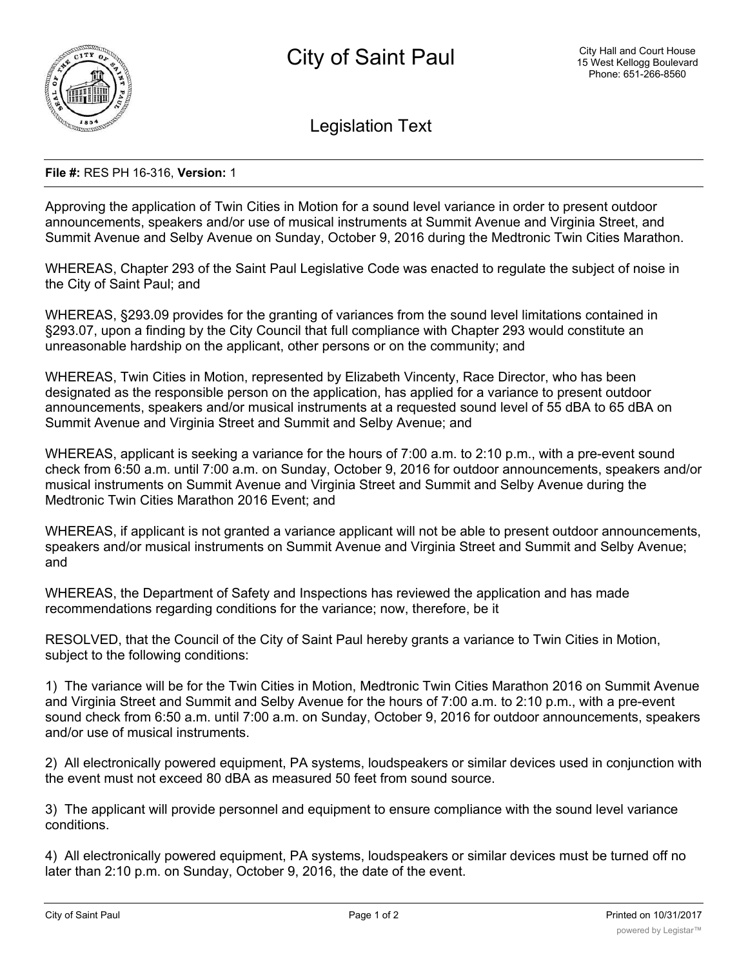

Legislation Text

## **File #:** RES PH 16-316, **Version:** 1

Approving the application of Twin Cities in Motion for a sound level variance in order to present outdoor announcements, speakers and/or use of musical instruments at Summit Avenue and Virginia Street, and Summit Avenue and Selby Avenue on Sunday, October 9, 2016 during the Medtronic Twin Cities Marathon.

WHEREAS, Chapter 293 of the Saint Paul Legislative Code was enacted to regulate the subject of noise in the City of Saint Paul; and

WHEREAS, §293.09 provides for the granting of variances from the sound level limitations contained in §293.07, upon a finding by the City Council that full compliance with Chapter 293 would constitute an unreasonable hardship on the applicant, other persons or on the community; and

WHEREAS, Twin Cities in Motion, represented by Elizabeth Vincenty, Race Director, who has been designated as the responsible person on the application, has applied for a variance to present outdoor announcements, speakers and/or musical instruments at a requested sound level of 55 dBA to 65 dBA on Summit Avenue and Virginia Street and Summit and Selby Avenue; and

WHEREAS, applicant is seeking a variance for the hours of 7:00 a.m. to 2:10 p.m., with a pre-event sound check from 6:50 a.m. until 7:00 a.m. on Sunday, October 9, 2016 for outdoor announcements, speakers and/or musical instruments on Summit Avenue and Virginia Street and Summit and Selby Avenue during the Medtronic Twin Cities Marathon 2016 Event; and

WHEREAS, if applicant is not granted a variance applicant will not be able to present outdoor announcements, speakers and/or musical instruments on Summit Avenue and Virginia Street and Summit and Selby Avenue; and

WHEREAS, the Department of Safety and Inspections has reviewed the application and has made recommendations regarding conditions for the variance; now, therefore, be it

RESOLVED, that the Council of the City of Saint Paul hereby grants a variance to Twin Cities in Motion, subject to the following conditions:

1) The variance will be for the Twin Cities in Motion, Medtronic Twin Cities Marathon 2016 on Summit Avenue and Virginia Street and Summit and Selby Avenue for the hours of 7:00 a.m. to 2:10 p.m., with a pre-event sound check from 6:50 a.m. until 7:00 a.m. on Sunday, October 9, 2016 for outdoor announcements, speakers and/or use of musical instruments.

2) All electronically powered equipment, PA systems, loudspeakers or similar devices used in conjunction with the event must not exceed 80 dBA as measured 50 feet from sound source.

3) The applicant will provide personnel and equipment to ensure compliance with the sound level variance conditions.

4) All electronically powered equipment, PA systems, loudspeakers or similar devices must be turned off no later than 2:10 p.m. on Sunday, October 9, 2016, the date of the event.